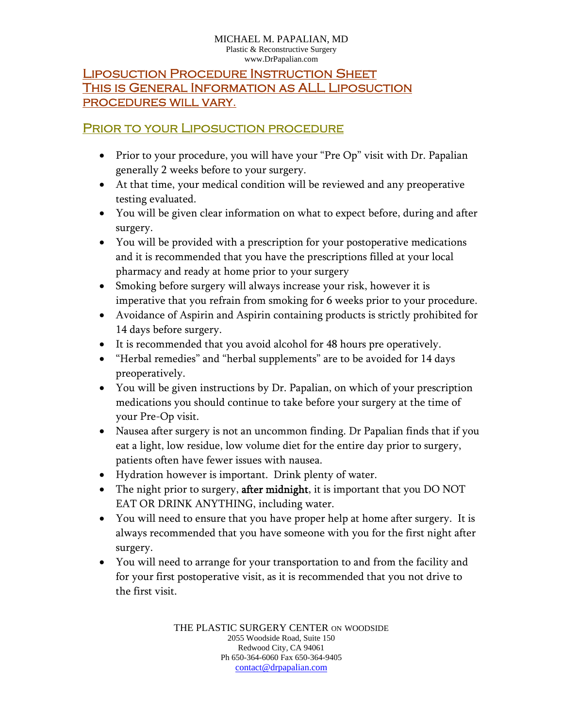## Liposuction Procedure Instruction Sheet This is General Information as ALL Liposuction procedures will vary.

## PRIOR TO YOUR LIPOSUCTION PROCEDURE

- Prior to your procedure, you will have your "Pre Op" visit with Dr. Papalian generally 2 weeks before to your surgery.
- At that time, your medical condition will be reviewed and any preoperative testing evaluated.
- You will be given clear information on what to expect before, during and after surgery.
- You will be provided with a prescription for your postoperative medications and it is recommended that you have the prescriptions filled at your local pharmacy and ready at home prior to your surgery
- Smoking before surgery will always increase your risk, however it is imperative that you refrain from smoking for 6 weeks prior to your procedure.
- Avoidance of Aspirin and Aspirin containing products is strictly prohibited for 14 days before surgery.
- It is recommended that you avoid alcohol for 48 hours pre operatively.
- "Herbal remedies" and "herbal supplements" are to be avoided for 14 days preoperatively.
- You will be given instructions by Dr. Papalian, on which of your prescription medications you should continue to take before your surgery at the time of your Pre-Op visit.
- Nausea after surgery is not an uncommon finding. Dr Papalian finds that if you eat a light, low residue, low volume diet for the entire day prior to surgery, patients often have fewer issues with nausea.
- Hydration however is important. Drink plenty of water.
- The night prior to surgery, **after midnight**, it is important that you DO NOT EAT OR DRINK ANYTHING, including water.
- You will need to ensure that you have proper help at home after surgery. It is always recommended that you have someone with you for the first night after surgery.
- You will need to arrange for your transportation to and from the facility and for your first postoperative visit, as it is recommended that you not drive to the first visit.

THE PLASTIC SURGERY CENTER ON WOODSIDE 2055 Woodside Road, Suite 150 Redwood City, CA 94061 Ph 650-364-6060 Fax 650-364-9405 contact@drpapalian.com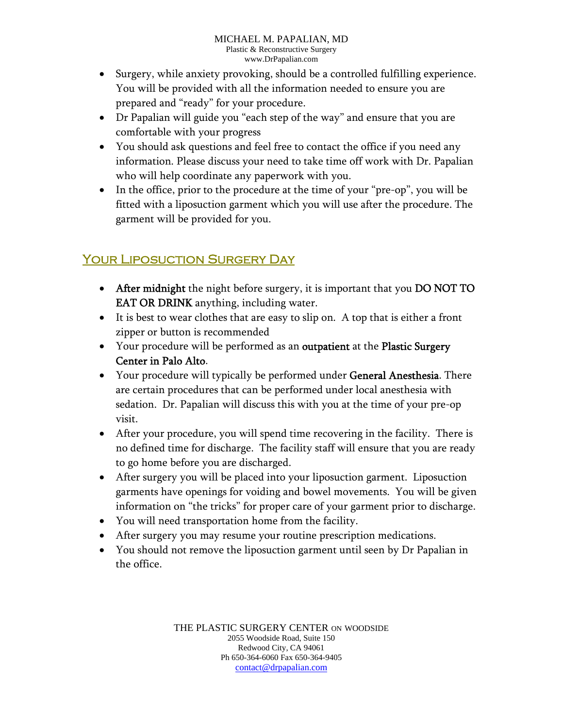- Surgery, while anxiety provoking, should be a controlled fulfilling experience. You will be provided with all the information needed to ensure you are prepared and "ready" for your procedure.
- Dr Papalian will guide you "each step of the way" and ensure that you are comfortable with your progress
- You should ask questions and feel free to contact the office if you need any information. Please discuss your need to take time off work with Dr. Papalian who will help coordinate any paperwork with you.
- In the office, prior to the procedure at the time of your "pre-op", you will be fitted with a liposuction garment which you will use after the procedure. The garment will be provided for you.

## Your Liposuction Surgery Day

- After midnight the night before surgery, it is important that you DO NOT TO EAT OR DRINK anything, including water.
- It is best to wear clothes that are easy to slip on. A top that is either a front zipper or button is recommended
- Your procedure will be performed as an outpatient at the Plastic Surgery Center in Palo Alto.
- Your procedure will typically be performed under General Anesthesia. There are certain procedures that can be performed under local anesthesia with sedation. Dr. Papalian will discuss this with you at the time of your pre-op visit.
- After your procedure, you will spend time recovering in the facility. There is no defined time for discharge. The facility staff will ensure that you are ready to go home before you are discharged.
- After surgery you will be placed into your liposuction garment. Liposuction garments have openings for voiding and bowel movements. You will be given information on "the tricks" for proper care of your garment prior to discharge.
- You will need transportation home from the facility.
- After surgery you may resume your routine prescription medications.
- You should not remove the liposuction garment until seen by Dr Papalian in the office.

THE PLASTIC SURGERY CENTER ON WOODSIDE 2055 Woodside Road, Suite 150 Redwood City, CA 94061 Ph 650-364-6060 Fax 650-364-9405 contact@drpapalian.com